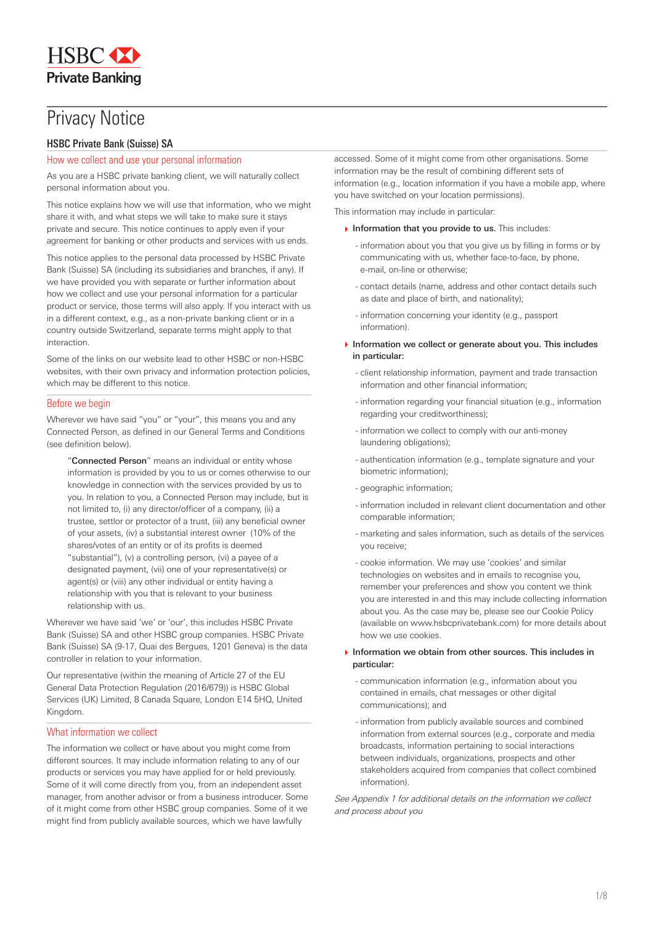# **Privacy Notice**

# HSBC Private Bank (Suisse) SA

# How we collect and use your personal information

As you are a HSBC private banking client, we will naturally collect personal information about you.

This notice explains how we will use that information, who we might share it with, and what steps we will take to make sure it stays private and secure. This notice continues to apply even if your agreement for banking or other products and services with us ends.

This notice applies to the personal data processed by HSBC Private Bank (Suisse) SA (including its subsidiaries and branches, if any). If we have provided you with separate or further information about how we collect and use your personal information for a particular product or service, those terms will also apply. If you interact with us in a different context, e.g., as a non-private banking client or in a country outside Switzerland, separate terms might apply to that interaction.

Some of the links on our website lead to other HSBC or non-HSBC websites, with their own privacy and information protection policies, which may be different to this notice.

# Before we begin

Wherever we have said "you" or "your", this means you and any Connected Person, as defined in our General Terms and Conditions (see definition below).

"Connected Person" means an individual or entity whose information is provided by you to us or comes otherwise to our knowledge in connection with the services provided by us to you. In relation to you, a Connected Person may include, but is not limited to, (i) any director/officer of a company, (ii) a trustee, settlor or protector of a trust, (iii) any beneficial owner of your assets, (iv) a substantial interest owner (10% of the shares/votes of an entity or of its profits is deemed "substantial"), (v) a controlling person, (vi) a payee of a designated payment, (vii) one of your representative(s) or agent(s) or (viii) any other individual or entity having a relationship with you that is relevant to your business relationship with us.

Wherever we have said 'we' or 'our', this includes HSBC Private Bank (Suisse) SA and other HSBC group companies. HSBC Private Bank (Suisse) SA (9-17, Quai des Bergues, 1201 Geneva) is the data controller in relation to your information.

Our representative (within the meaning of Article 27 of the EU General Data Protection Regulation (2016/679)) is HSBC Global Services (UK) Limited, 8 Canada Square, London E14 5HQ, United Kingdom.

# What information we collect

The information we collect or have about you might come from different sources. It may include information relating to any of our products or services you may have applied for or held previously. Some of it will come directly from you, from an independent asset manager, from another advisor or from a business introducer. Some of it might come from other HSBC group companies. Some of it we might find from publicly available sources, which we have lawfully

accessed. Some of it might come from other organisations. Some information may be the result of combining different sets of information (e.g., location information if you have a mobile app, where you have switched on your location permissions).

This information may include in particular:

- $\blacktriangleright$  Information that you provide to us. This includes:
	- information about you that you give us by filling in forms or by communicating with us, whether face-to-face, by phone, e-mail, on-line or otherwise;
	- contact details (name, address and other contact details such as date and place of birth, and nationality);
	- information concerning your identity (e.g., passport information).
- $\blacktriangleright$  Information we collect or generate about you. This includes in particular:
	- client relationship information, payment and trade transaction information and other financial information;
	- information regarding your financial situation (e.g., information regarding your creditworthiness);
	- information we collect to comply with our anti-money laundering obligations);
	- authentication information (e.g., template signature and your biometric information);
	- geographic information;
	- information included in relevant client documentation and other comparable information;
	- marketing and sales information, such as details of the services you receive;
	- cookie information. We may use 'cookies' and similar technologies on websites and in emails to recognise you, remember your preferences and show you content we think you are interested in and this may include collecting information about you. As the case may be, please see our Cookie Policy (available on www.hsbcprivatebank.com) for more details about how we use cookies.
- **Information we obtain from other sources. This includes in** particular:
	- communication information (e.g., information about you contained in emails, chat messages or other digital communications); and
	- information from publicly available sources and combined information from external sources (e.g., corporate and media broadcasts, information pertaining to social interactions between individuals, organizations, prospects and other stakeholders acquired from companies that collect combined information).

See Appendix 1 for additional details on the information we collect and process about you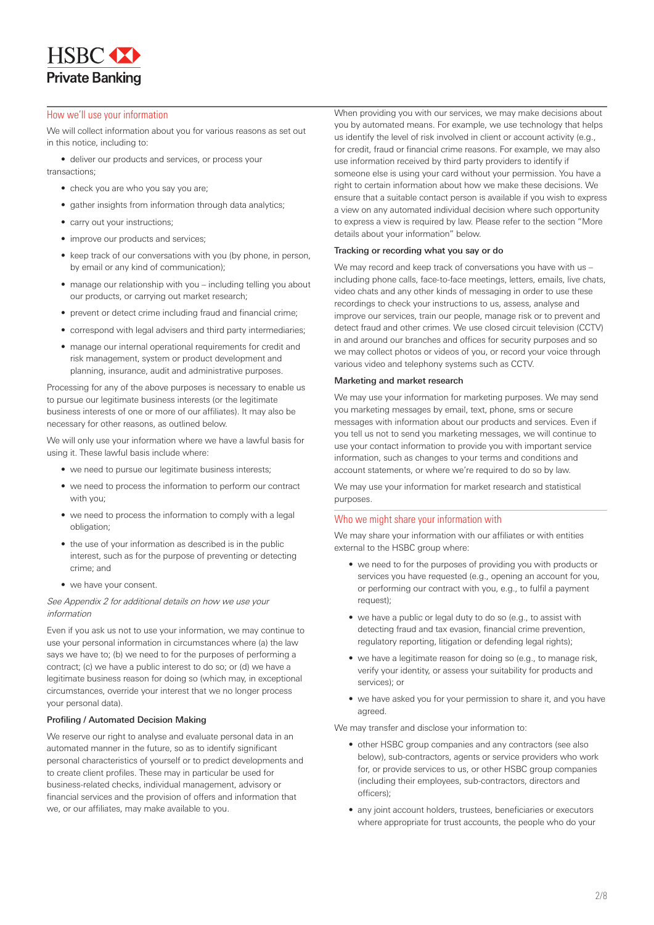**HSBC Private Banking** 

# How we'll use your information

We will collect information about you for various reasons as set out in this notice, including to:

• deliver our products and services, or process your transactions;

- check you are who you say you are;
- gather insights from information through data analytics;
- carry out your instructions;
- improve our products and services;
- keep track of our conversations with you (by phone, in person, by email or any kind of communication);
- manage our relationship with you including telling you about our products, or carrying out market research;
- prevent or detect crime including fraud and financial crime;
- correspond with legal advisers and third party intermediaries;
- manage our internal operational requirements for credit and risk management, system or product development and planning, insurance, audit and administrative purposes.

Processing for any of the above purposes is necessary to enable us to pursue our legitimate business interests (or the legitimate business interests of one or more of our affiliates). It may also be necessary for other reasons, as outlined below.

We will only use your information where we have a lawful basis for using it. These lawful basis include where:

- we need to pursue our legitimate business interests;
- we need to process the information to perform our contract with you;
- we need to process the information to comply with a legal obligation;
- the use of your information as described is in the public interest, such as for the purpose of preventing or detecting crime; and
- we have your consent.

#### See Appendix 2 for additional details on how we use your information

Even if you ask us not to use your information, we may continue to use your personal information in circumstances where (a) the law says we have to; (b) we need to for the purposes of performing a contract; (c) we have a public interest to do so; or (d) we have a legitimate business reason for doing so (which may, in exceptional circumstances, override your interest that we no longer process your personal data).

#### Profiling / Automated Decision Making

We reserve our right to analyse and evaluate personal data in an automated manner in the future, so as to identify significant personal characteristics of yourself or to predict developments and to create client profiles. These may in particular be used for business-related checks, individual management, advisory or financial services and the provision of offers and information that we, or our affiliates, may make available to you.

When providing you with our services, we may make decisions about you by automated means. For example, we use technology that helps us identify the level of risk involved in client or account activity (e.g., for credit, fraud or financial crime reasons. For example, we may also use information received by third party providers to identify if someone else is using your card without your permission. You have a right to certain information about how we make these decisions. We ensure that a suitable contact person is available if you wish to express a view on any automated individual decision where such opportunity to express a view is required by law. Please refer to the section "More details about your information" below.

# Tracking or recording what you say or do

We may record and keep track of conversations you have with us – including phone calls, face-to-face meetings, letters, emails, live chats, video chats and any other kinds of messaging in order to use these recordings to check your instructions to us, assess, analyse and improve our services, train our people, manage risk or to prevent and detect fraud and other crimes. We use closed circuit television (CCTV) in and around our branches and offices for security purposes and so we may collect photos or videos of you, or record your voice through various video and telephony systems such as CCTV.

#### Marketing and market research

We may use your information for marketing purposes. We may send you marketing messages by email, text, phone, sms or secure messages with information about our products and services. Even if you tell us not to send you marketing messages, we will continue to use your contact information to provide you with important service information, such as changes to your terms and conditions and account statements, or where we're required to do so by law.

We may use your information for market research and statistical purposes.

## Who we might share your information with

We may share your information with our affiliates or with entities external to the HSBC group where:

- we need to for the purposes of providing you with products or services you have requested (e.g., opening an account for you, or performing our contract with you, e.g., to fulfil a payment request);
- we have a public or legal duty to do so (e.g., to assist with detecting fraud and tax evasion, financial crime prevention, regulatory reporting, litigation or defending legal rights);
- we have a legitimate reason for doing so (e.g., to manage risk, verify your identity, or assess your suitability for products and services); or
- we have asked you for your permission to share it, and you have agreed.

We may transfer and disclose your information to:

- other HSBC group companies and any contractors (see also below), sub-contractors, agents or service providers who work for, or provide services to us, or other HSBC group companies (including their employees, sub-contractors, directors and officers);
- any joint account holders, trustees, beneficiaries or executors where appropriate for trust accounts, the people who do your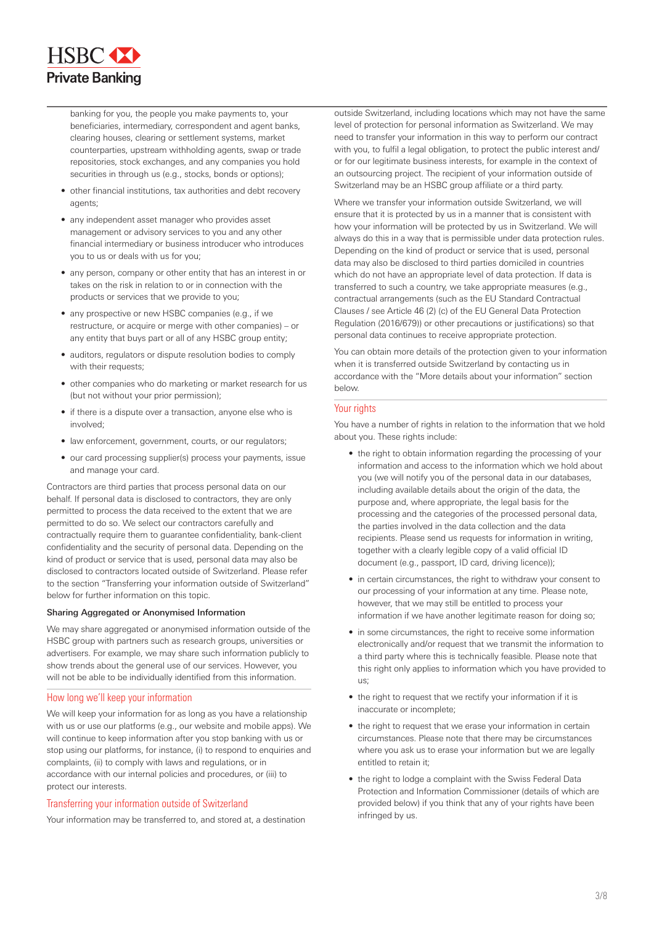

banking for you, the people you make payments to, your beneficiaries, intermediary, correspondent and agent banks, clearing houses, clearing or settlement systems, market counterparties, upstream withholding agents, swap or trade repositories, stock exchanges, and any companies you hold securities in through us (e.g., stocks, bonds or options);

- other financial institutions, tax authorities and debt recovery agents;
- any independent asset manager who provides asset management or advisory services to you and any other financial intermediary or business introducer who introduces you to us or deals with us for you;
- any person, company or other entity that has an interest in or takes on the risk in relation to or in connection with the products or services that we provide to you;
- any prospective or new HSBC companies (e.g., if we restructure, or acquire or merge with other companies) – or any entity that buys part or all of any HSBC group entity;
- auditors, regulators or dispute resolution bodies to comply with their requests:
- other companies who do marketing or market research for us (but not without your prior permission);
- if there is a dispute over a transaction, anyone else who is involved;
- law enforcement, government, courts, or our regulators;
- our card processing supplier(s) process your payments, issue and manage your card.

Contractors are third parties that process personal data on our behalf. If personal data is disclosed to contractors, they are only permitted to process the data received to the extent that we are permitted to do so. We select our contractors carefully and contractually require them to guarantee confidentiality, bank-client confidentiality and the security of personal data. Depending on the kind of product or service that is used, personal data may also be disclosed to contractors located outside of Switzerland. Please refer to the section "Transferring your information outside of Switzerland" below for further information on this topic.

#### Sharing Aggregated or Anonymised Information

We may share aggregated or anonymised information outside of the HSBC group with partners such as research groups, universities or advertisers. For example, we may share such information publicly to show trends about the general use of our services. However, you will not be able to be individually identified from this information.

## How long we'll keep your information

We will keep your information for as long as you have a relationship with us or use our platforms (e.g., our website and mobile apps). We will continue to keep information after you stop banking with us or stop using our platforms, for instance, (i) to respond to enquiries and complaints, (ii) to comply with laws and regulations, or in accordance with our internal policies and procedures, or (iii) to protect our interests.

## Transferring your information outside of Switzerland

Your information may be transferred to, and stored at, a destination

outside Switzerland, including locations which may not have the same level of protection for personal information as Switzerland. We may need to transfer your information in this way to perform our contract with you, to fulfil a legal obligation, to protect the public interest and/ or for our legitimate business interests, for example in the context of an outsourcing project. The recipient of your information outside of Switzerland may be an HSBC group affiliate or a third party.

Where we transfer your information outside Switzerland, we will ensure that it is protected by us in a manner that is consistent with how your information will be protected by us in Switzerland. We will always do this in a way that is permissible under data protection rules. Depending on the kind of product or service that is used, personal data may also be disclosed to third parties domiciled in countries which do not have an appropriate level of data protection. If data is transferred to such a country, we take appropriate measures (e.g., contractual arrangements (such as the EU Standard Contractual Clauses / see Article 46 (2) (c) of the EU General Data Protection Regulation (2016/679)) or other precautions or justifications) so that personal data continues to receive appropriate protection.

You can obtain more details of the protection given to your information when it is transferred outside Switzerland by contacting us in accordance with the "More details about your information" section below.

## Your rights

You have a number of rights in relation to the information that we hold about you. These rights include:

- the right to obtain information regarding the processing of your information and access to the information which we hold about you (we will notify you of the personal data in our databases, including available details about the origin of the data, the purpose and, where appropriate, the legal basis for the processing and the categories of the processed personal data, the parties involved in the data collection and the data recipients. Please send us requests for information in writing, together with a clearly legible copy of a valid official ID document (e.g., passport, ID card, driving licence));
- in certain circumstances, the right to withdraw your consent to our processing of your information at any time. Please note, however, that we may still be entitled to process your information if we have another legitimate reason for doing so;
- in some circumstances, the right to receive some information electronically and/or request that we transmit the information to a third party where this is technically feasible. Please note that this right only applies to information which you have provided to us;
- the right to request that we rectify your information if it is inaccurate or incomplete;
- the right to request that we erase your information in certain circumstances. Please note that there may be circumstances where you ask us to erase your information but we are legally entitled to retain it;
- the right to lodge a complaint with the Swiss Federal Data Protection and Information Commissioner (details of which are provided below) if you think that any of your rights have been infringed by us.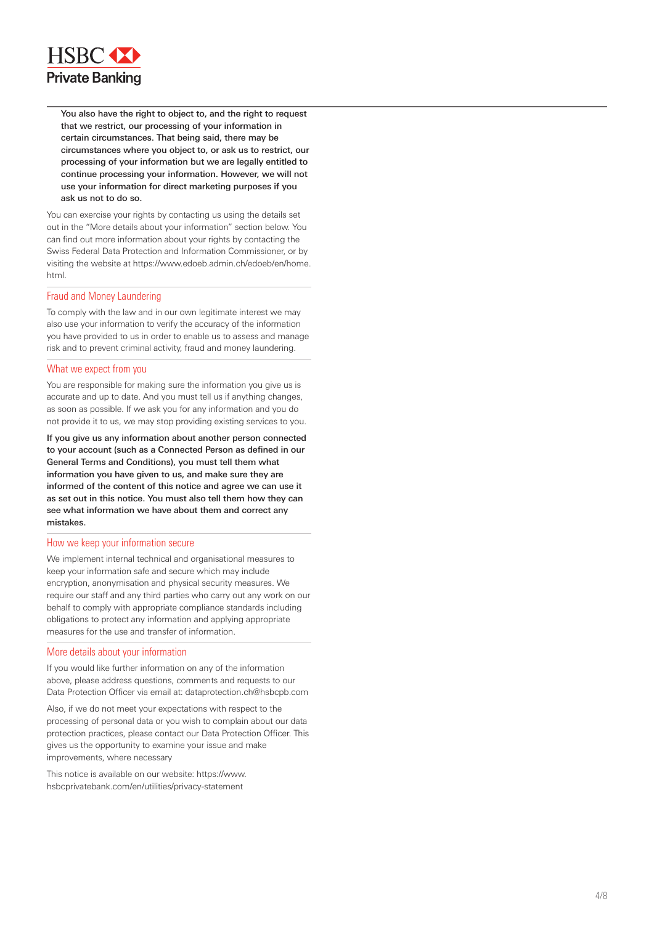

 You also have the right to object to, and the right to request that we restrict, our processing of your information in certain circumstances. That being said, there may be circumstances where you object to, or ask us to restrict, our processing of your information but we are legally entitled to continue processing your information. However, we will not use your information for direct marketing purposes if you ask us not to do so.

You can exercise your rights by contacting us using the details set out in the "More details about your information" section below. You can find out more information about your rights by contacting the Swiss Federal Data Protection and Information Commissioner, or by visiting the website at https://www.edoeb.admin.ch/edoeb/en/home. html.

## Fraud and Money Laundering

To comply with the law and in our own legitimate interest we may also use your information to verify the accuracy of the information you have provided to us in order to enable us to assess and manage risk and to prevent criminal activity, fraud and money laundering.

## What we expect from you

You are responsible for making sure the information you give us is accurate and up to date. And you must tell us if anything changes, as soon as possible. If we ask you for any information and you do not provide it to us, we may stop providing existing services to you.

If you give us any information about another person connected to your account (such as a Connected Person as defined in our General Terms and Conditions), you must tell them what information you have given to us, and make sure they are informed of the content of this notice and agree we can use it as set out in this notice. You must also tell them how they can see what information we have about them and correct any mistakes.

#### How we keep your information secure

We implement internal technical and organisational measures to keep your information safe and secure which may include encryption, anonymisation and physical security measures. We require our staff and any third parties who carry out any work on our behalf to comply with appropriate compliance standards including obligations to protect any information and applying appropriate measures for the use and transfer of information.

#### More details about your information

If you would like further information on any of the information above, please address questions, comments and requests to our Data Protection Officer via email at: dataprotection.ch@hsbcpb.com

Also, if we do not meet your expectations with respect to the processing of personal data or you wish to complain about our data protection practices, please contact our Data Protection Officer. This gives us the opportunity to examine your issue and make improvements, where necessary

This notice is available on our website: https://www. hsbcprivatebank.com/en/utilities/privacy-statement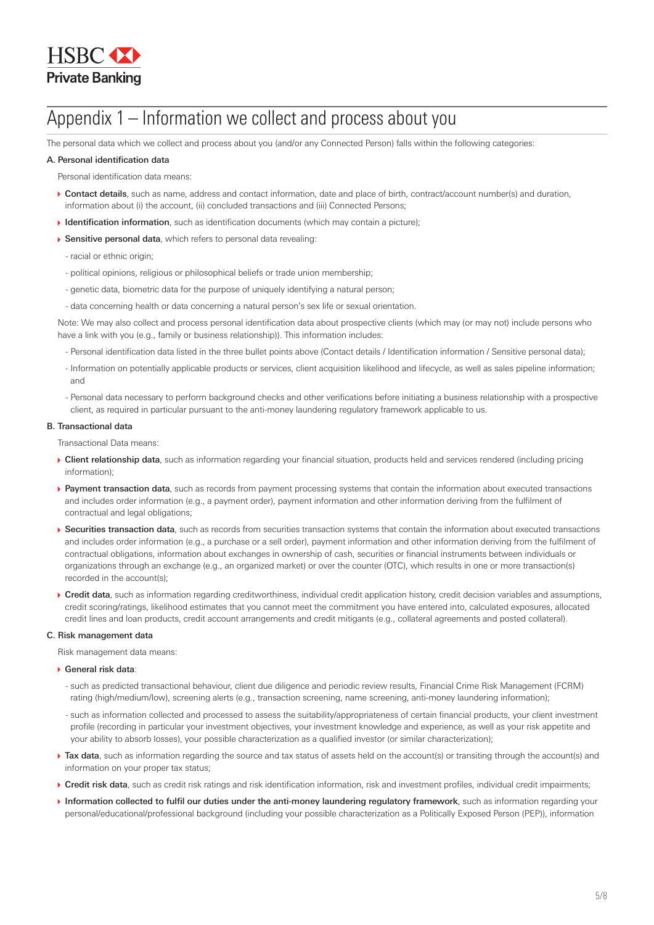

# Appendix 1 – Information we collect and process about you

The personal data which we collect and process about you (and/or any Connected Person) falls within the following categories:

#### A. Personal identification data

Personal identification data means:

- ▶ Contact details, such as name, address and contact information, date and place of birth, contract/account number(s) and duration, information about (i) the account, (ii) concluded transactions and (iii) Connected Persons;
- Identification information, such as identification documents (which may contain a picture);
- Sensitive personal data, which refers to personal data revealing:
	- racial or ethnic origin;
	- political opinions, religious or philosophical beliefs or trade union membership;
	- genetic data, biometric data for the purpose of uniquely identifying a natural person;
	- data concerning health or data concerning a natural person's sex life or sexual orientation.

Note: We may also collect and process personal identification data about prospective clients (which may (or may not) include persons who have a link with you (e.g., family or business relationship)). This information includes:

- Personal identification data listed in the three bullet points above (Contact details / Identification information / Sensitive personal data);
- Information on potentially applicable products or services, client acquisition likelihood and lifecycle, as well as sales pipeline information; and
- Personal data necessary to perform background checks and other verifications before initiating a business relationship with a prospective client, as required in particular pursuant to the anti-money laundering regulatory framework applicable to us.

#### B. Transactional data

Transactional Data means:

- ▶ Client relationship data, such as information regarding your financial situation, products held and services rendered (including pricing information);
- Payment transaction data, such as records from payment processing systems that contain the information about executed transactions and includes order information (e.g., a payment order), payment information and other information deriving from the fulfilment of contractual and legal obligations;
- ▶ Securities transaction data, such as records from securities transaction systems that contain the information about executed transactions and includes order information (e.g., a purchase or a sell order), payment information and other information deriving from the fulfilment of contractual obligations, information about exchanges in ownership of cash, securities or financial instruments between individuals or organizations through an exchange (e.g., an organized market) or over the counter (OTC), which results in one or more transaction(s) recorded in the account(s);
- ▶ Credit data, such as information regarding creditworthiness, individual credit application history, credit decision variables and assumptions, credit scoring/ratings, likelihood estimates that you cannot meet the commitment you have entered into, calculated exposures, allocated credit lines and loan products, credit account arrangements and credit mitigants (e.g., collateral agreements and posted collateral).

#### C. Risk management data

Risk management data means:

#### General risk data:

- such as predicted transactional behaviour, client due diligence and periodic review results, Financial Crime Risk Management (FCRM) rating (high/medium/low), screening alerts (e.g., transaction screening, name screening, anti-money laundering information);
- such as information collected and processed to assess the suitability/appropriateness of certain financial products, your client investment profile (recording in particular your investment objectives, your investment knowledge and experience, as well as your risk appetite and your ability to absorb losses), your possible characterization as a qualified investor (or similar characterization);
- ▶ Tax data, such as information regarding the source and tax status of assets held on the account(s) or transiting through the account(s) and information on your proper tax status;
- ▶ Credit risk data, such as credit risk ratings and risk identification information, risk and investment profiles, individual credit impairments;
- Information collected to fulfil our duties under the anti-money laundering regulatory framework, such as information regarding your personal/educational/professional background (including your possible characterization as a Politically Exposed Person (PEP)), information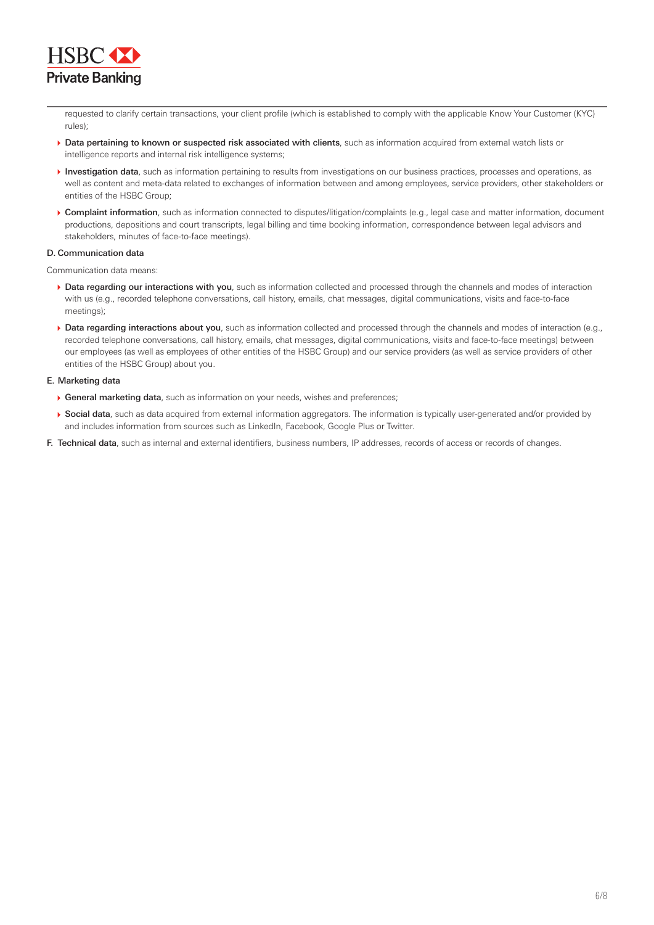

requested to clarify certain transactions, your client profile (which is established to comply with the applicable Know Your Customer (KYC) rules);

- ▶ Data pertaining to known or suspected risk associated with clients, such as information acquired from external watch lists or intelligence reports and internal risk intelligence systems;
- Investigation data, such as information pertaining to results from investigations on our business practices, processes and operations, as well as content and meta-data related to exchanges of information between and among employees, service providers, other stakeholders or entities of the HSBC Group;
- ▶ Complaint information, such as information connected to disputes/litigation/complaints (e.g., legal case and matter information, document productions, depositions and court transcripts, legal billing and time booking information, correspondence between legal advisors and stakeholders, minutes of face-to-face meetings).

## D. Communication data

Communication data means:

- Data regarding our interactions with you, such as information collected and processed through the channels and modes of interaction with us (e.g., recorded telephone conversations, call history, emails, chat messages, digital communications, visits and face-to-face meetings)<sup>.</sup>
- Data regarding interactions about you, such as information collected and processed through the channels and modes of interaction (e.g., recorded telephone conversations, call history, emails, chat messages, digital communications, visits and face-to-face meetings) between our employees (as well as employees of other entities of the HSBC Group) and our service providers (as well as service providers of other entities of the HSBC Group) about you.

## E. Marketing data

- General marketing data, such as information on your needs, wishes and preferences;
- ▶ Social data, such as data acquired from external information aggregators. The information is typically user-generated and/or provided by and includes information from sources such as LinkedIn, Facebook, Google Plus or Twitter.
- F. Technical data, such as internal and external identifiers, business numbers, IP addresses, records of access or records of changes.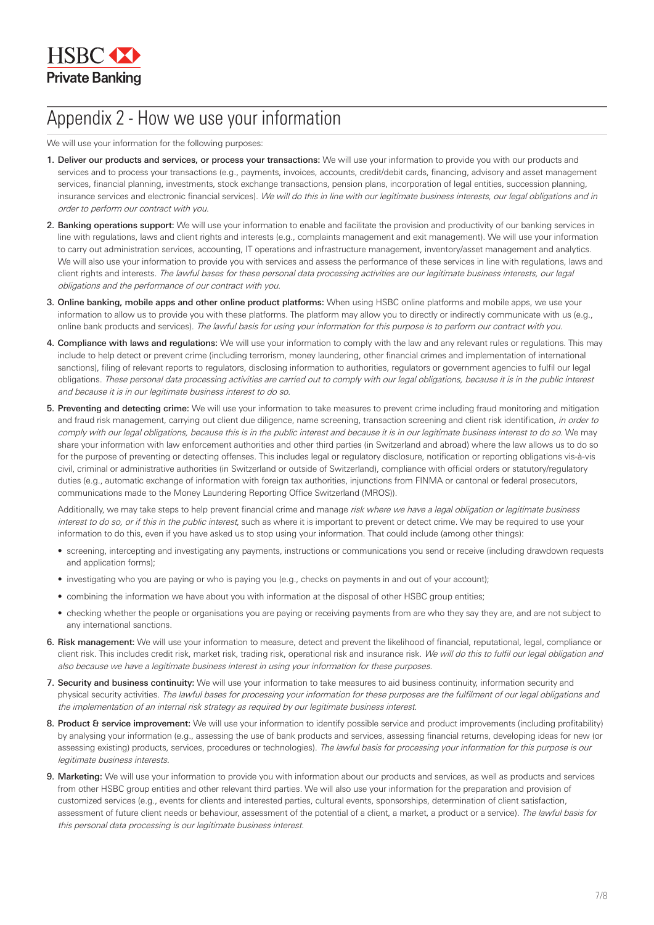# Appendix 2 - How we use your information

We will use your information for the following purposes:

- 1. Deliver our products and services, or process your transactions: We will use your information to provide you with our products and services and to process your transactions (e.g., payments, invoices, accounts, credit/debit cards, financing, advisory and asset management services, financial planning, investments, stock exchange transactions, pension plans, incorporation of legal entities, succession planning, insurance services and electronic financial services). We will do this in line with our legitimate business interests, our legal obligations and in order to perform our contract with you.
- 2. Banking operations support: We will use your information to enable and facilitate the provision and productivity of our banking services in line with regulations, laws and client rights and interests (e.g., complaints management and exit management). We will use your information to carry out administration services, accounting, IT operations and infrastructure management, inventory/asset management and analytics. We will also use your information to provide you with services and assess the performance of these services in line with regulations, laws and client rights and interests. The lawful bases for these personal data processing activities are our legitimate business interests, our legal obligations and the performance of our contract with you.
- 3. Online banking, mobile apps and other online product platforms: When using HSBC online platforms and mobile apps, we use your information to allow us to provide you with these platforms. The platform may allow you to directly or indirectly communicate with us (e.g., online bank products and services). The lawful basis for using your information for this purpose is to perform our contract with you.
- 4. Compliance with laws and regulations: We will use your information to comply with the law and any relevant rules or regulations. This may include to help detect or prevent crime (including terrorism, money laundering, other financial crimes and implementation of international sanctions), filing of relevant reports to regulators, disclosing information to authorities, regulators or government agencies to fulfil our legal obligations. These personal data processing activities are carried out to comply with our legal obligations, because it is in the public interest and because it is in our legitimate business interest to do so.
- 5. Preventing and detecting crime: We will use your information to take measures to prevent crime including fraud monitoring and mitigation and fraud risk management, carrying out client due diligence, name screening, transaction screening and client risk identification, in order to comply with our legal obligations, because this is in the public interest and because it is in our legitimate business interest to do so. We may share your information with law enforcement authorities and other third parties (in Switzerland and abroad) where the law allows us to do so for the purpose of preventing or detecting offenses. This includes legal or regulatory disclosure, notification or reporting obligations vis-à-vis civil, criminal or administrative authorities (in Switzerland or outside of Switzerland), compliance with official orders or statutory/regulatory duties (e.g., automatic exchange of information with foreign tax authorities, injunctions from FINMA or cantonal or federal prosecutors, communications made to the Money Laundering Reporting Office Switzerland (MROS)).

Additionally, we may take steps to help prevent financial crime and manage risk where we have a legal obligation or legitimate business interest to do so, or if this in the public interest, such as where it is important to prevent or detect crime. We may be required to use your information to do this, even if you have asked us to stop using your information. That could include (among other things):

- screening, intercepting and investigating any payments, instructions or communications you send or receive (including drawdown requests and application forms);
- investigating who you are paying or who is paying you (e.g., checks on payments in and out of your account);
- combining the information we have about you with information at the disposal of other HSBC group entities;
- checking whether the people or organisations you are paying or receiving payments from are who they say they are, and are not subject to any international sanctions.
- 6. Risk management: We will use your information to measure, detect and prevent the likelihood of financial, reputational, legal, compliance or client risk. This includes credit risk, market risk, trading risk, operational risk and insurance risk. We will do this to fulfil our legal obligation and also because we have a legitimate business interest in using your information for these purposes.
- 7. Security and business continuity: We will use your information to take measures to aid business continuity, information security and physical security activities. The lawful bases for processing your information for these purposes are the fulfilment of our legal obligations and the implementation of an internal risk strategy as required by our legitimate business interest.
- 8. Product & service improvement: We will use your information to identify possible service and product improvements (including profitability) by analysing your information (e.g., assessing the use of bank products and services, assessing financial returns, developing ideas for new (or assessing existing) products, services, procedures or technologies). The lawful basis for processing your information for this purpose is our legitimate business interests.
- 9. Marketing: We will use your information to provide you with information about our products and services, as well as products and services from other HSBC group entities and other relevant third parties. We will also use your information for the preparation and provision of customized services (e.g., events for clients and interested parties, cultural events, sponsorships, determination of client satisfaction, assessment of future client needs or behaviour, assessment of the potential of a client, a market, a product or a service). The lawful basis for this personal data processing is our legitimate business interest.